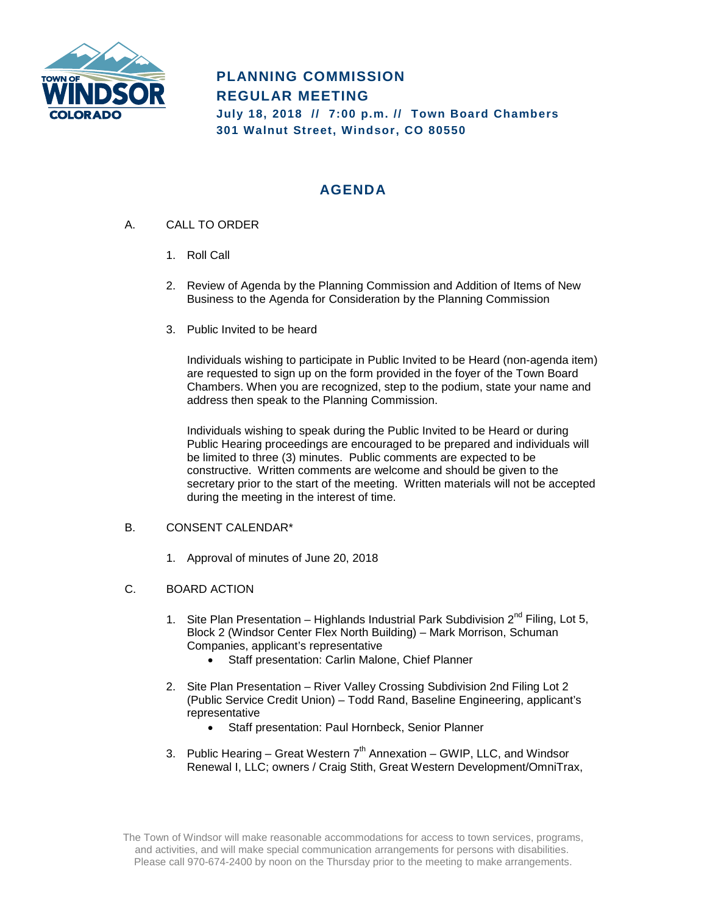

# **PLANNING COMMISSION REGULAR MEETING July 18, 2018 // 7:00 p.m. // Town Board Chambers**

**301 Walnut Street, Windsor, CO 80550**

## **AGENDA**

- A. CALL TO ORDER
	- 1. Roll Call
	- 2. Review of Agenda by the Planning Commission and Addition of Items of New Business to the Agenda for Consideration by the Planning Commission
	- 3. Public Invited to be heard

Individuals wishing to participate in Public Invited to be Heard (non-agenda item) are requested to sign up on the form provided in the foyer of the Town Board Chambers. When you are recognized, step to the podium, state your name and address then speak to the Planning Commission.

Individuals wishing to speak during the Public Invited to be Heard or during Public Hearing proceedings are encouraged to be prepared and individuals will be limited to three (3) minutes. Public comments are expected to be constructive. Written comments are welcome and should be given to the secretary prior to the start of the meeting. Written materials will not be accepted during the meeting in the interest of time.

### B. CONSENT CALENDAR\*

- 1. Approval of minutes of June 20, 2018
- C. BOARD ACTION
	- 1. Site Plan Presentation Highlands Industrial Park Subdivision  $2^{nd}$  Filing, Lot 5, Block 2 (Windsor Center Flex North Building) – Mark Morrison, Schuman Companies, applicant's representative
		- Staff presentation: Carlin Malone, Chief Planner
	- 2. Site Plan Presentation River Valley Crossing Subdivision 2nd Filing Lot 2 (Public Service Credit Union) – Todd Rand, Baseline Engineering, applicant's representative
		- Staff presentation: Paul Hornbeck, Senior Planner
	- 3. Public Hearing Great Western  $7<sup>th</sup>$  Annexation GWIP, LLC, and Windsor Renewal I, LLC; owners / Craig Stith, Great Western Development/OmniTrax,

The Town of Windsor will make reasonable accommodations for access to town services, programs, and activities, and will make special communication arrangements for persons with disabilities. Please call 970-674-2400 by noon on the Thursday prior to the meeting to make arrangements.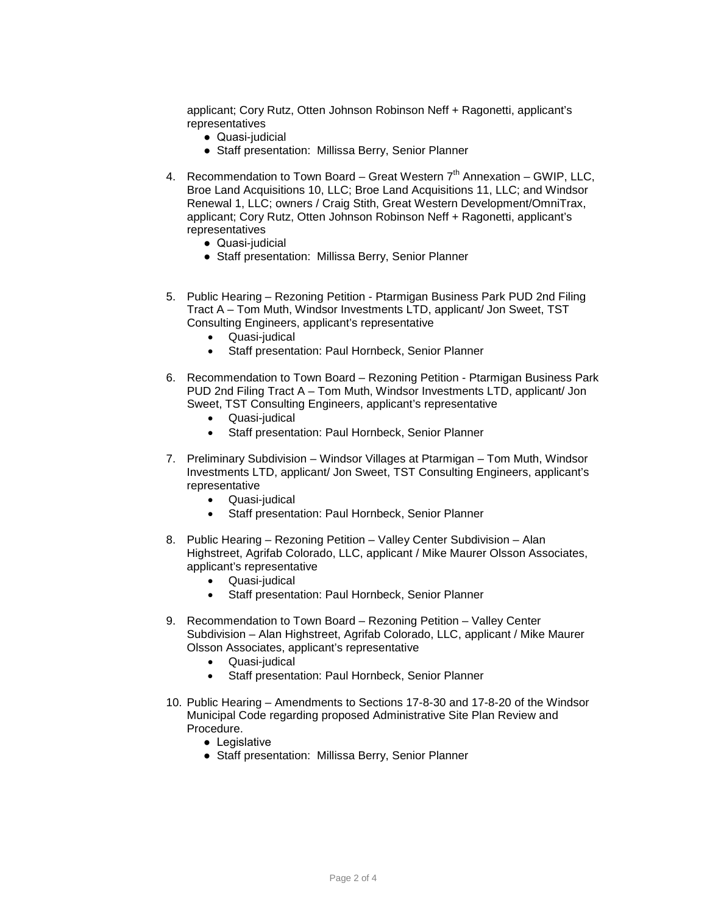applicant; Cory Rutz, Otten Johnson Robinson Neff + Ragonetti, applicant's representatives

- Quasi-judicial
- Staff presentation: Millissa Berry, Senior Planner
- 4. Recommendation to Town Board Great Western  $7<sup>th</sup>$  Annexation GWIP, LLC, Broe Land Acquisitions 10, LLC; Broe Land Acquisitions 11, LLC; and Windsor Renewal 1, LLC; owners / Craig Stith, Great Western Development/OmniTrax, applicant; Cory Rutz, Otten Johnson Robinson Neff + Ragonetti, applicant's representatives
	- Quasi-judicial
	- Staff presentation: Millissa Berry, Senior Planner
- 5. Public Hearing Rezoning Petition Ptarmigan Business Park PUD 2nd Filing Tract A – Tom Muth, Windsor Investments LTD, applicant/ Jon Sweet, TST Consulting Engineers, applicant's representative
	- Quasi-judical
	- Staff presentation: Paul Hornbeck, Senior Planner
- 6. Recommendation to Town Board Rezoning Petition Ptarmigan Business Park PUD 2nd Filing Tract A – Tom Muth, Windsor Investments LTD, applicant/ Jon Sweet, TST Consulting Engineers, applicant's representative
	- Quasi-judical
	- Staff presentation: Paul Hornbeck, Senior Planner
- 7. Preliminary Subdivision Windsor Villages at Ptarmigan Tom Muth, Windsor Investments LTD, applicant/ Jon Sweet, TST Consulting Engineers, applicant's representative
	- Quasi-judical
	- Staff presentation: Paul Hornbeck, Senior Planner
- 8. Public Hearing Rezoning Petition Valley Center Subdivision Alan Highstreet, Agrifab Colorado, LLC, applicant / Mike Maurer Olsson Associates, applicant's representative
	- Quasi-judical
	- Staff presentation: Paul Hornbeck, Senior Planner
- 9. Recommendation to Town Board Rezoning Petition Valley Center Subdivision – Alan Highstreet, Agrifab Colorado, LLC, applicant / Mike Maurer Olsson Associates, applicant's representative
	- Quasi-judical
	- Staff presentation: Paul Hornbeck, Senior Planner
- 10. Public Hearing Amendments to Sections 17-8-30 and 17-8-20 of the Windsor Municipal Code regarding proposed Administrative Site Plan Review and Procedure.
	- Legislative
	- Staff presentation: Millissa Berry, Senior Planner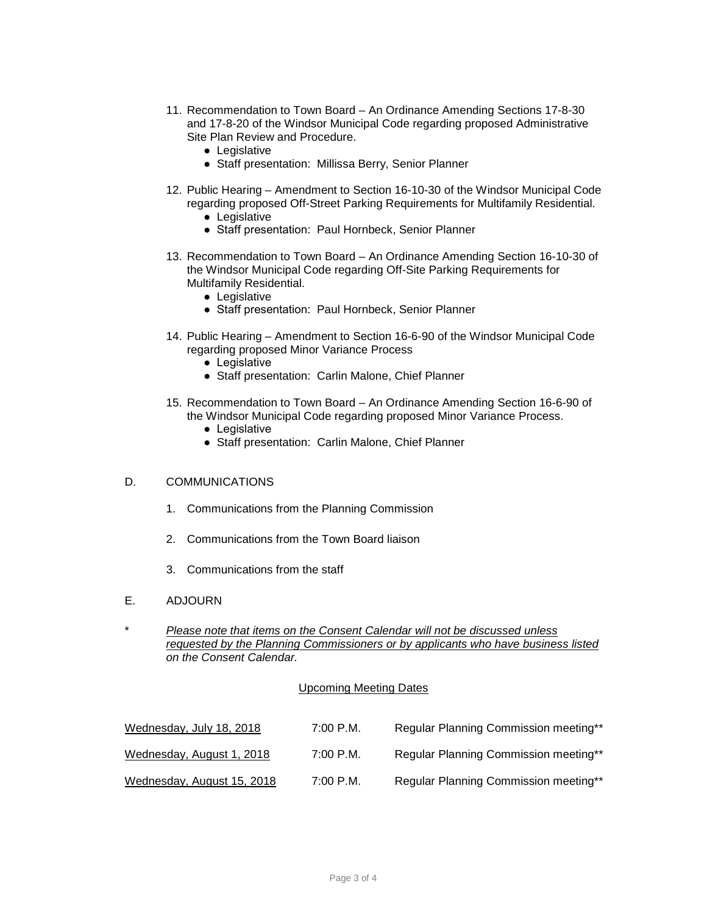- 11. Recommendation to Town Board An Ordinance Amending Sections 17-8-30 and 17-8-20 of the Windsor Municipal Code regarding proposed Administrative Site Plan Review and Procedure.
	- Legislative
	- Staff presentation: Millissa Berry, Senior Planner
- 12. Public Hearing Amendment to Section 16-10-30 of the Windsor Municipal Code regarding proposed Off-Street Parking Requirements for Multifamily Residential.
	- Legislative
	- Staff presentation: Paul Hornbeck, Senior Planner
- 13. Recommendation to Town Board An Ordinance Amending Section 16-10-30 of the Windsor Municipal Code regarding Off-Site Parking Requirements for Multifamily Residential.
	- Legislative
	- Staff presentation: Paul Hornbeck, Senior Planner
- 14. Public Hearing Amendment to Section 16-6-90 of the Windsor Municipal Code regarding proposed Minor Variance Process
	- Legislative
	- Staff presentation: Carlin Malone, Chief Planner
- 15. Recommendation to Town Board An Ordinance Amending Section 16-6-90 of the Windsor Municipal Code regarding proposed Minor Variance Process.
	- Legislative
	- Staff presentation: Carlin Malone, Chief Planner

#### D. COMMUNICATIONS

- 1. Communications from the Planning Commission
- 2. Communications from the Town Board liaison
- 3. Communications from the staff
- E. ADJOURN
- \* *Please note that items on the Consent Calendar will not be discussed unless requested by the Planning Commissioners or by applicants who have business listed on the Consent Calendar.*

#### Upcoming Meeting Dates

| Wednesday, July 18, 2018   | $7:00$ P.M. | Regular Planning Commission meeting** |
|----------------------------|-------------|---------------------------------------|
| Wednesday, August 1, 2018  | $7:00$ P.M. | Regular Planning Commission meeting** |
| Wednesday, August 15, 2018 | $7:00$ P.M. | Regular Planning Commission meeting** |